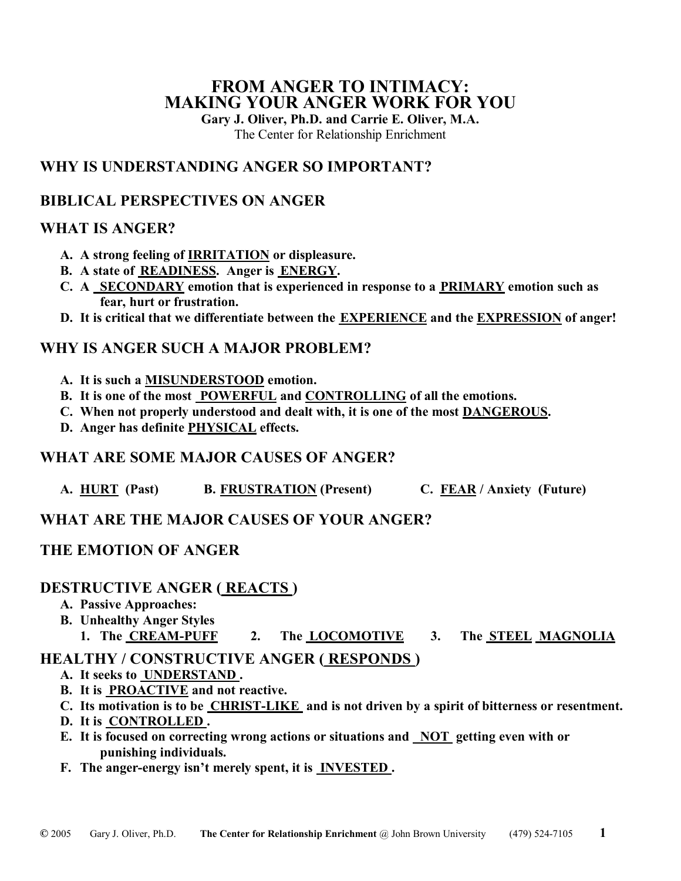## **FROM ANGER TO INTIMACY: MAKING YOUR ANGER WORK FOR YOU**

**Gary J. Oliver, Ph.D. and Carrie E. Oliver, M.A.** 

The Center for Relationship Enrichment

## **WHY IS UNDERSTANDING ANGER SO IMPORTANT?**

# **BIBLICAL PERSPECTIVES ON ANGER**

## **WHAT IS ANGER?**

- **A. A strong feeling of IRRITATION or displeasure.**
- **B. A state of READINESS. Anger is ENERGY.**
- **C. A SECONDARY emotion that is experienced in response to a PRIMARY emotion such as fear, hurt or frustration.**
- **D. It is critical that we differentiate between the EXPERIENCE and the EXPRESSION of anger!**

## **WHY IS ANGER SUCH A MAJOR PROBLEM?**

- **A. It is such a MISUNDERSTOOD emotion.**
- **B. It is one of the most POWERFUL and CONTROLLING of all the emotions.**
- **C. When not properly understood and dealt with, it is one of the most DANGEROUS.**
- **D. Anger has definite PHYSICAL effects.**

## **WHAT ARE SOME MAJOR CAUSES OF ANGER?**

A. **HURT** (Past) **B. FRUSTRATION** (Present) **C. FEAR / Anxiety (Future)** 

# **WHAT ARE THE MAJOR CAUSES OF YOUR ANGER?**

## **THE EMOTION OF ANGER**

## **DESTRUCTIVE ANGER ( REACTS )**

- **A. Passive Approaches:**
- **B. Unhealthy Anger Styles** 
	- **1. The CREAM-PUFF 2. The LOCOMOTIVE 3. The STEEL MAGNOLIA**

## **HEALTHY / CONSTRUCTIVE ANGER ( RESPONDS )**

- **A. It seeks to UNDERSTAND .**
- **B. It is PROACTIVE and not reactive.**
- **C. Its motivation is to be CHRIST-LIKE and is not driven by a spirit of bitterness or resentment.**
- **D. It is CONTROLLED .**
- **E. It is focused on correcting wrong actions or situations and NOT getting even with or punishing individuals.**
- **F. The anger-energy isn't merely spent, it is INVESTED .**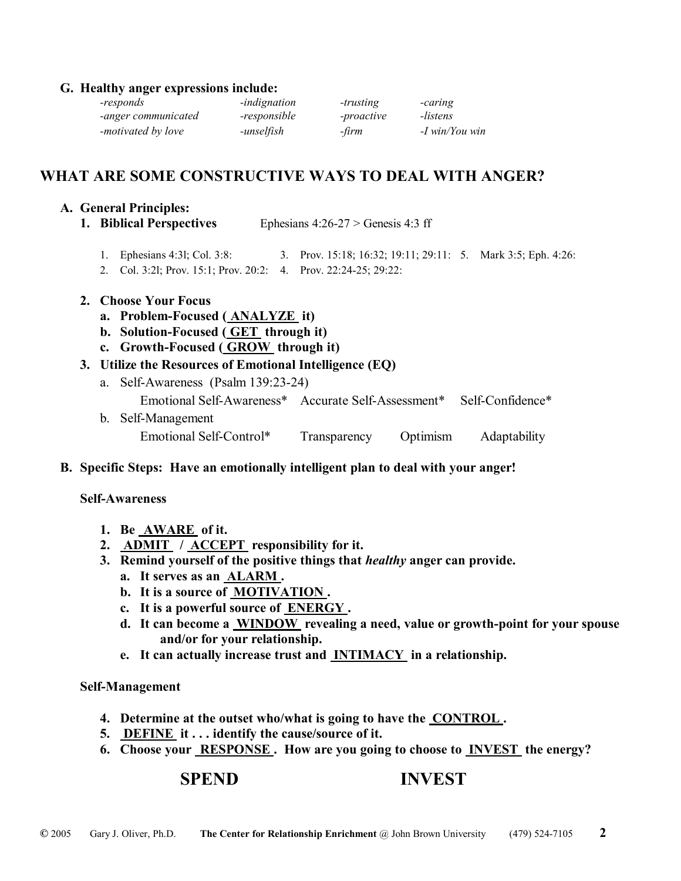#### **G. Healthy anger expressions include:**

| -responds           | -indignation | -trusting  | -caring        |
|---------------------|--------------|------------|----------------|
| -anger communicated | -responsible | -proactive | -listens       |
| -motivated by love  | -unselfish   | -firm      | -I win/You win |

## **WHAT ARE SOME CONSTRUCTIVE WAYS TO DEAL WITH ANGER?**

#### **A. General Principles:**

- **1. Biblical Perspectives** Ephesians 4:26-27 > Genesis 4:3 ff
	- 1. Ephesians 4:3l; Col. 3:8: 3. Prov. 15:18; 16:32; 19:11; 29:11: 5. Mark 3:5; Eph. 4:26:
	- 2. Col. 3:2l; Prov. 15:1; Prov. 20:2: 4. Prov. 22:24-25; 29:22:

#### **2. Choose Your Focus**

- **a. Problem-Focused ( ANALYZE it)**
- **b. Solution-Focused ( GET through it)**
- **c. Growth-Focused ( GROW through it)**
- **3. Utilize the Resources of Emotional Intelligence (EQ)**
	- a. Self-Awareness (Psalm 139:23-24) Emotional Self-Awareness\* Accurate Self-Assessment\* Self-Confidence\* b. Self-Management Emotional Self-Control\* Transparency Optimism Adaptability
- **B. Specific Steps: Have an emotionally intelligent plan to deal with your anger!**

#### **Self-Awareness**

- **1. Be AWARE of it.**
- **2. ADMIT / ACCEPT responsibility for it.**
- **3. Remind yourself of the positive things that** *healthy* **anger can provide.** 
	- **a. It serves as an ALARM .**
	- **b. It is a source of MOTIVATION .**
	- **c. It is a powerful source of ENERGY .**
	- **d. It can become a WINDOW revealing a need, value or growth-point for your spouse and/or for your relationship.**
	- **e. It can actually increase trust and INTIMACY in a relationship.**

#### **Self-Management**

- **4. Determine at the outset who/what is going to have the CONTROL .**
- **5. DEFINE it . . . identify the cause/source of it.**
- **6. Choose your RESPONSE . How are you going to choose to INVEST the energy?**

### **SPEND INVEST**